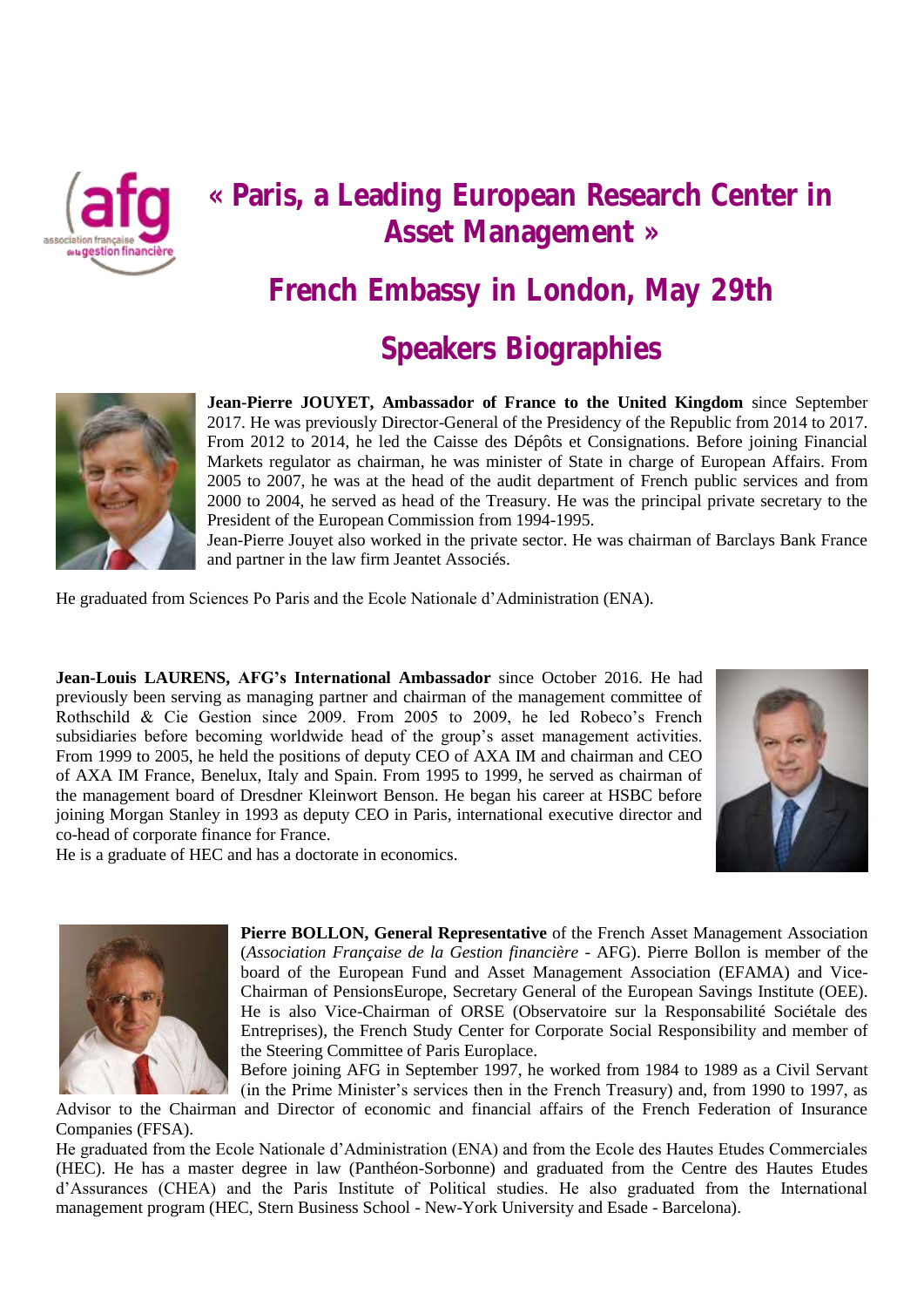

# **« Paris, a Leading European Research Center in Asset Management »**

**French Embassy in London, May 29th**

# **Speakers Biographies**



**Jean-Pierre JOUYET, Ambassador of France to the United Kingdom** since September 2017. He was previously Director-General of the Presidency of the Republic from 2014 to 2017. From 2012 to 2014, he led the Caisse des Dépôts et Consignations. Before joining Financial Markets regulator as chairman, he was minister of State in charge of European Affairs. From 2005 to 2007, he was at the head of the audit department of French public services and from 2000 to 2004, he served as head of the Treasury. He was the principal private secretary to the President of the European Commission from 1994-1995.

Jean-Pierre Jouyet also worked in the private sector. He was chairman of Barclays Bank France and partner in the law firm Jeantet Associés.

He graduated from Sciences Po Paris and the Ecole Nationale d'Administration (ENA).

**Jean-Louis LAURENS, AFG's International Ambassador** since October 2016. He had previously been serving as managing partner and chairman of the management committee of Rothschild & Cie Gestion since 2009. From 2005 to 2009, he led Robeco's French subsidiaries before becoming worldwide head of the group's asset management activities. From 1999 to 2005, he held the positions of deputy CEO of AXA IM and chairman and CEO of AXA IM France, Benelux, Italy and Spain. From 1995 to 1999, he served as chairman of the management board of Dresdner Kleinwort Benson. He began his career at HSBC before joining Morgan Stanley in 1993 as deputy CEO in Paris, international executive director and co-head of corporate finance for France.



He is a graduate of HEC and has a doctorate in economics.



**Pierre BOLLON, General Representative** of the French Asset Management Association (*Association Française de la Gestion financière* - AFG). Pierre Bollon is member of the board of the European Fund and Asset Management Association (EFAMA) and Vice-Chairman of PensionsEurope, Secretary General of the European Savings Institute (OEE). He is also Vice-Chairman of ORSE (Observatoire sur la Responsabilité Sociétale des Entreprises), the French Study Center for Corporate Social Responsibility and member of the Steering Committee of Paris Europlace.

Before joining AFG in September 1997, he worked from 1984 to 1989 as a Civil Servant (in the Prime Minister's services then in the French Treasury) and, from 1990 to 1997, as

Advisor to the Chairman and Director of economic and financial affairs of the French Federation of Insurance Companies (FFSA).

He graduated from the Ecole Nationale d'Administration (ENA) and from the Ecole des Hautes Etudes Commerciales (HEC). He has a master degree in law (Panthéon-Sorbonne) and graduated from the Centre des Hautes Etudes d'Assurances (CHEA) and the Paris Institute of Political studies. He also graduated from the International management program (HEC, Stern Business School - New-York University and Esade - Barcelona).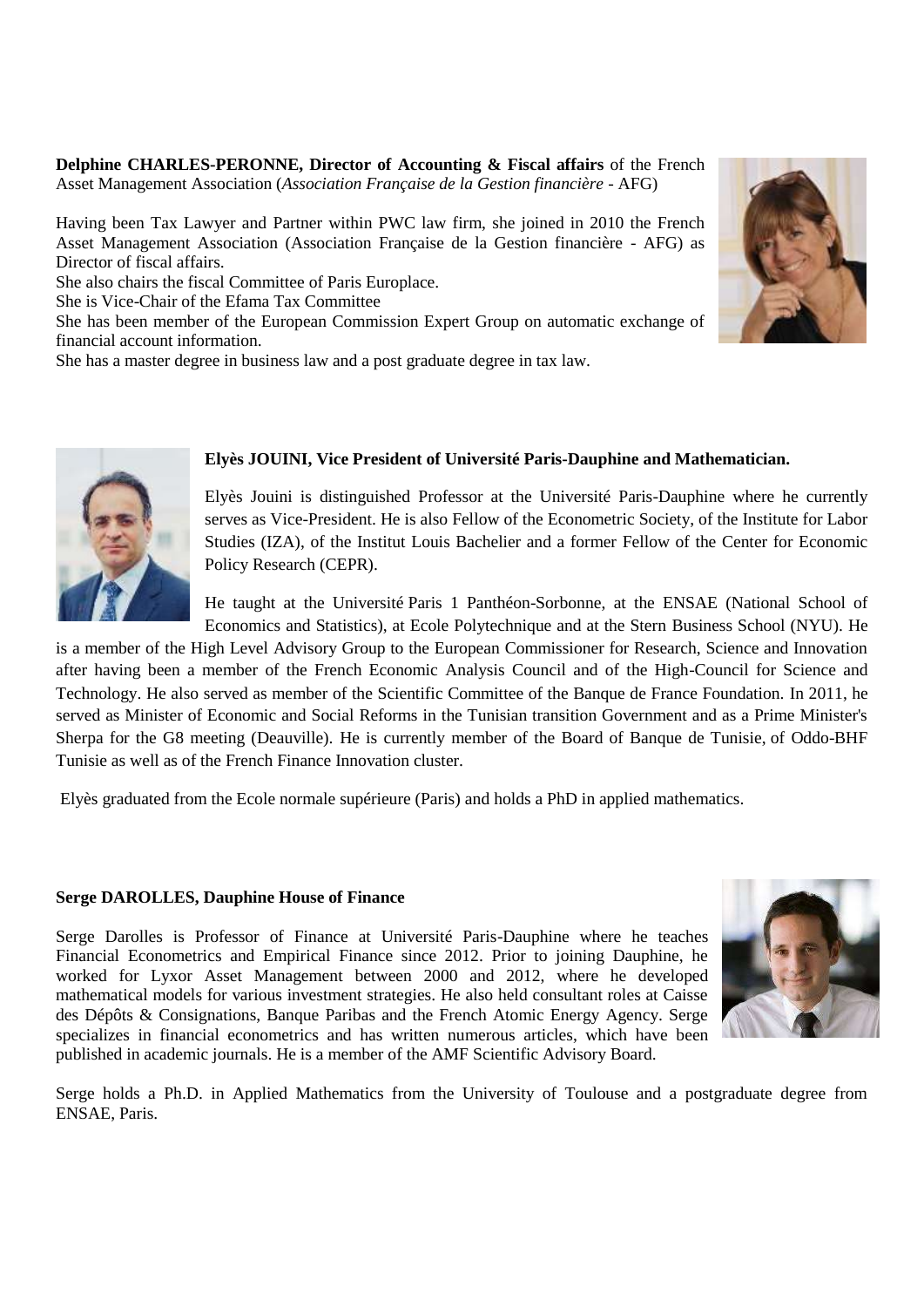**Delphine CHARLES-PERONNE, Director of Accounting & Fiscal affairs** of the French Asset Management Association (*Association Française de la Gestion financière* - AFG)

Having been Tax Lawyer and Partner within PWC law firm, she joined in 2010 the French Asset Management Association (Association Française de la Gestion financière - AFG) as Director of fiscal affairs.

She also chairs the fiscal Committee of Paris Europlace.

She is Vice-Chair of the Efama Tax Committee

She has been member of the European Commission Expert Group on automatic exchange of financial account information.

She has a master degree in business law and a post graduate degree in tax law.





### **Elyès JOUINI, Vice President of Université Paris-Dauphine and Mathematician.**

Elyès Jouini is distinguished Professor at the Université Paris-Dauphine where he currently serves as Vice-President. He is also Fellow of the Econometric Society, of the Institute for Labor Studies (IZA), of the Institut Louis Bachelier and a former Fellow of the Center for Economic Policy Research (CEPR).

He taught at the Université Paris 1 Panthéon-Sorbonne, at the ENSAE (National School of Economics and Statistics), at Ecole Polytechnique and at the Stern Business School (NYU). He

is a member of the High Level Advisory Group to the European Commissioner for Research, Science and Innovation after having been a member of the French Economic Analysis Council and of the High-Council for Science and Technology. He also served as member of the Scientific Committee of the Banque de France Foundation. In 2011, he served as Minister of Economic and Social Reforms in the Tunisian transition Government and as a Prime Minister's Sherpa for the G8 meeting (Deauville). He is currently member of the Board of Banque de Tunisie, of Oddo-BHF Tunisie as well as of the French Finance Innovation cluster.

Elyès graduated from the Ecole normale supérieure (Paris) and holds a PhD in applied mathematics.

#### **Serge DAROLLES, Dauphine House of Finance**

Serge Darolles is Professor of Finance at Université Paris-Dauphine where he teaches Financial Econometrics and Empirical Finance since 2012. Prior to joining Dauphine, he worked for Lyxor Asset Management between 2000 and 2012, where he developed mathematical models for various investment strategies. He also held consultant roles at Caisse des Dépôts & Consignations, Banque Paribas and the French Atomic Energy Agency. Serge specializes in financial econometrics and has written numerous articles, which have been published in academic journals. He is a member of the AMF Scientific Advisory Board.



Serge holds a Ph.D. in Applied Mathematics from the University of Toulouse and a postgraduate degree from ENSAE, Paris.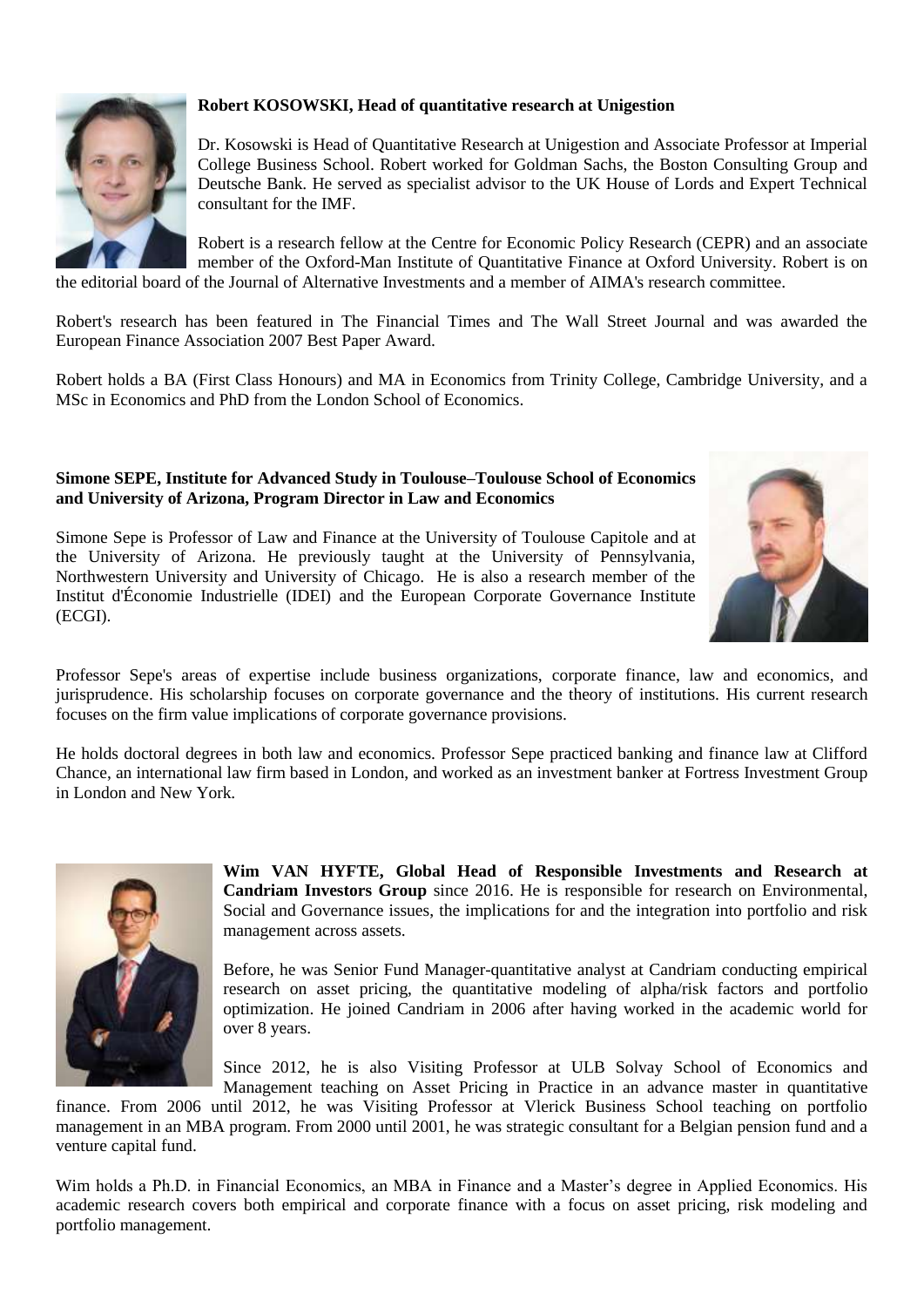

# **Robert KOSOWSKI, Head of quantitative research at Unigestion**

Dr. Kosowski is Head of Quantitative Research at Unigestion and Associate Professor at Imperial College Business School. Robert worked for Goldman Sachs, the Boston Consulting Group and Deutsche Bank. He served as specialist advisor to the UK House of Lords and Expert Technical consultant for the IMF.

Robert is a research fellow at the Centre for Economic Policy Research (CEPR) and an associate member of the Oxford-Man Institute of Quantitative Finance at Oxford University. Robert is on the editorial board of the Journal of Alternative Investments and a member of AIMA's research committee.

Robert's research has been featured in The Financial Times and The Wall Street Journal and was awarded the European Finance Association 2007 Best Paper Award.

Robert holds a BA (First Class Honours) and MA in Economics from Trinity College, Cambridge University, and a MSc in Economics and PhD from the London School of Economics.

### **Simone SEPE, Institute for Advanced Study in Toulouse–Toulouse School of Economics and University of Arizona, Program Director in Law and Economics**

Simone Sepe is Professor of Law and Finance at the University of Toulouse Capitole and at the University of Arizona. He previously taught at the University of Pennsylvania, Northwestern University and University of Chicago. He is also a research member of the Institut d'Économie Industrielle (IDEI) and the European Corporate Governance Institute (ECGI).



Professor Sepe's areas of expertise include business organizations, corporate finance, law and economics, and jurisprudence. His scholarship focuses on corporate governance and the theory of institutions. His current research focuses on the firm value implications of corporate governance provisions.

He holds doctoral degrees in both law and economics. Professor Sepe practiced banking and finance law at Clifford Chance, an international law firm based in London, and worked as an investment banker at Fortress Investment Group in London and New York.



**Wim VAN HYFTE, Global Head of Responsible Investments and Research at Candriam Investors Group** since 2016. He is responsible for research on Environmental, Social and Governance issues, the implications for and the integration into portfolio and risk management across assets.

Before, he was Senior Fund Manager-quantitative analyst at Candriam conducting empirical research on asset pricing, the quantitative modeling of alpha/risk factors and portfolio optimization. He joined Candriam in 2006 after having worked in the academic world for over 8 years.

Since 2012, he is also Visiting Professor at ULB Solvay School of Economics and Management teaching on Asset Pricing in Practice in an advance master in quantitative

finance. From 2006 until 2012, he was Visiting Professor at Vlerick Business School teaching on portfolio management in an MBA program. From 2000 until 2001, he was strategic consultant for a Belgian pension fund and a venture capital fund.

Wim holds a Ph.D. in Financial Economics, an MBA in Finance and a Master's degree in Applied Economics. His academic research covers both empirical and corporate finance with a focus on asset pricing, risk modeling and portfolio management.